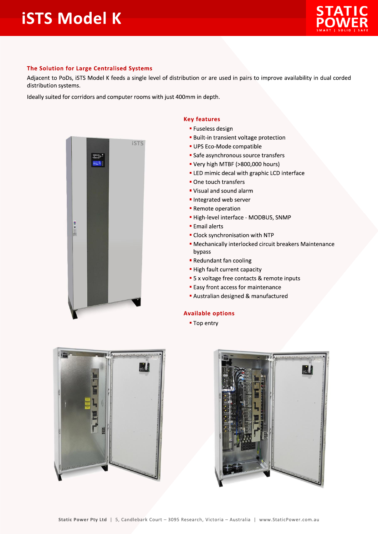

## The Solution for Large Centralised Systems

Adjacent to PoDs, iSTS Model K feeds a single level of distribution or are used in pairs to improve availability in dual corded distribution systems.

Ideally suited for corridors and computer rooms with just 400mm in depth.



## **Key features**

- **E** Fuseless design
- **Built-in transient voltage protection**
- UPS Eco-Mode compatible
- Safe asynchronous source transfers
- " Very high MTBF (>800,000 hours)
- **ELED** mimic decal with graphic LCD interface
- One touch transfers
- " Visual and sound alarm
- Integrated web server
- Remote operation
- · High-level interface MODBUS, SNMP
- **Email alerts**
- Clock synchronisation with NTP
- Mechanically interlocked circuit breakers Maintenance bypass
- Redundant fan cooling
- High fault current capacity
- 5 x voltage free contacts & remote inputs
- **Easy front access for maintenance**
- Australian designed & manufactured

## **Available options**

■ Top entry